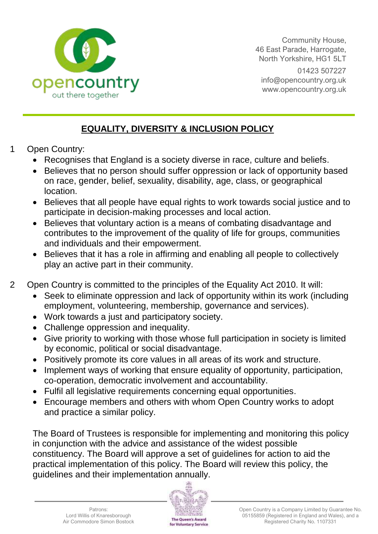

Community House, 46 East Parade, Harrogate, North Yorkshire, HG1 5LT 01423 507227 [info@opencountry.org.uk](mailto:info@opencountry.org.uk) www.opencountry.org.uk

## **EQUALITY, DIVERSITY & INCLUSION POLICY**

- 1 Open Country:
	- Recognises that England is a society diverse in race, culture and beliefs.
	- Believes that no person should suffer oppression or lack of opportunity based on race, gender, belief, sexuality, disability, age, class, or geographical location.
	- Believes that all people have equal rights to work towards social justice and to participate in decision-making processes and local action.
	- Believes that voluntary action is a means of combating disadvantage and contributes to the improvement of the quality of life for groups, communities and individuals and their empowerment.
	- Believes that it has a role in affirming and enabling all people to collectively play an active part in their community.
- 2 Open Country is committed to the principles of the Equality Act 2010. It will:
	- Seek to eliminate oppression and lack of opportunity within its work (including employment, volunteering, membership, governance and services).
	- Work towards a just and participatory society.
	- Challenge oppression and inequality.
	- Give priority to working with those whose full participation in society is limited by economic, political or social disadvantage.
	- Positively promote its core values in all areas of its work and structure.
	- Implement ways of working that ensure equality of opportunity, participation, co-operation, democratic involvement and accountability.
	- Fulfil all legislative requirements concerning equal opportunities.
	- Encourage members and others with whom Open Country works to adopt and practice a similar policy.

The Board of Trustees is responsible for implementing and monitoring this policy in conjunction with the advice and assistance of the widest possible constituency. The Board will approve a set of guidelines for action to aid the practical implementation of this policy. The Board will review this policy, the guidelines and their implementation annually.

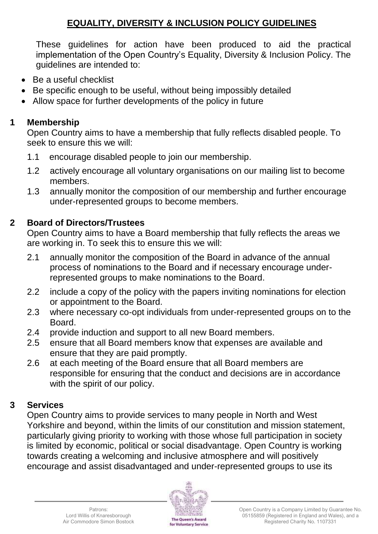## **EQUALITY, DIVERSITY & INCLUSION POLICY GUIDELINES**

These guidelines for action have been produced to aid the practical implementation of the Open Country's Equality, Diversity & Inclusion Policy. The guidelines are intended to:

- Be a useful checklist
- Be specific enough to be useful, without being impossibly detailed
- Allow space for further developments of the policy in future

## **1 Membership**

Open Country aims to have a membership that fully reflects disabled people. To seek to ensure this we will:

- 1.1 encourage disabled people to join our membership.
- 1.2 actively encourage all voluntary organisations on our mailing list to become members.
- 1.3 annually monitor the composition of our membership and further encourage under-represented groups to become members.

## **2 Board of Directors/Trustees**

Open Country aims to have a Board membership that fully reflects the areas we are working in. To seek this to ensure this we will:

- 2.1 annually monitor the composition of the Board in advance of the annual process of nominations to the Board and if necessary encourage underrepresented groups to make nominations to the Board.
- 2.2 include a copy of the policy with the papers inviting nominations for election or appointment to the Board.
- 2.3 where necessary co-opt individuals from under-represented groups on to the Board.
- 2.4 provide induction and support to all new Board members.
- 2.5 ensure that all Board members know that expenses are available and ensure that they are paid promptly.
- 2.6 at each meeting of the Board ensure that all Board members are responsible for ensuring that the conduct and decisions are in accordance with the spirit of our policy.

#### **3 Services**

Open Country aims to provide services to many people in North and West Yorkshire and beyond, within the limits of our constitution and mission statement, particularly giving priority to working with those whose full participation in society is limited by economic, political or social disadvantage. Open Country is working towards creating a welcoming and inclusive atmosphere and will positively encourage and assist disadvantaged and under-represented groups to use its

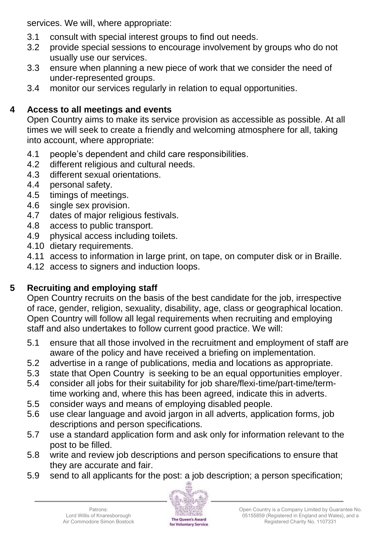services. We will, where appropriate:

- 3.1 consult with special interest groups to find out needs.
- 3.2 provide special sessions to encourage involvement by groups who do not usually use our services.
- 3.3 ensure when planning a new piece of work that we consider the need of under-represented groups.
- 3.4 monitor our services regularly in relation to equal opportunities.

## **4 Access to all meetings and events**

Open Country aims to make its service provision as accessible as possible. At all times we will seek to create a friendly and welcoming atmosphere for all, taking into account, where appropriate:

- 4.1 people's dependent and child care responsibilities.
- 4.2 different religious and cultural needs.
- 4.3 different sexual orientations.
- 4.4 personal safety.
- 4.5 timings of meetings.
- 4.6 single sex provision.
- 4.7 dates of major religious festivals.
- 4.8 access to public transport.
- 4.9 physical access including toilets.
- 4.10 dietary requirements.
- 4.11 access to information in large print, on tape, on computer disk or in Braille.
- 4.12 access to signers and induction loops.

# **5 Recruiting and employing staff**

Open Country recruits on the basis of the best candidate for the job, irrespective of race, gender, religion, sexuality, disability, age, class or geographical location. Open Country will follow all legal requirements when recruiting and employing staff and also undertakes to follow current good practice. We will:

- 5.1 ensure that all those involved in the recruitment and employment of staff are aware of the policy and have received a briefing on implementation.
- 5.2 advertise in a range of publications, media and locations as appropriate.
- 5.3 state that Open Country is seeking to be an equal opportunities employer.
- 5.4 consider all jobs for their suitability for job share/flexi-time/part-time/termtime working and, where this has been agreed, indicate this in adverts.
- 5.5 consider ways and means of employing disabled people.
- 5.6 use clear language and avoid jargon in all adverts, application forms, job descriptions and person specifications.
- 5.7 use a standard application form and ask only for information relevant to the post to be filled.
- 5.8 write and review job descriptions and person specifications to ensure that they are accurate and fair.
- 5.9 send to all applicants for the post: a job description; a person specification;